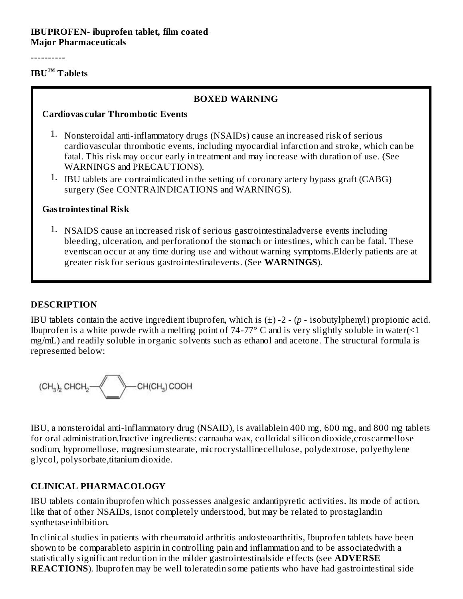#### **IBUPROFEN- ibuprofen tablet, film coated Major Pharmaceuticals**

----------

#### **IBU Tablets ™**

#### **BOXED WARNING**

#### **Cardiovas cular Thrombotic Events**

- 1. Nonsteroidal anti-inflammatory drugs (NSAIDs) cause an increased risk of serious cardiovascular thrombotic events, including myocardial infarction and stroke, which can be fatal. This risk may occur early in treatment and may increase with duration of use. (See WARNINGS and PRECAUTIONS).
- 1. IBU tablets are contraindicated in the setting of coronary artery bypass graft (CABG) surgery (See CONTRAINDICATIONS and WARNINGS).

#### **Gastrointestinal Risk**

1. NSAIDS cause an increased risk of serious gastrointestinaladverse events including bleeding, ulceration, and perforationof the stomach or intestines, which can be fatal. These eventscan occur at any time during use and without warning symptoms.Elderly patients are at greater risk for serious gastrointestinalevents. (See **WARNINGS**).

#### **DESCRIPTION**

IBU tablets contain the active ingredient ibuprofen, which is  $(\pm)$  -2 -  $(p -$  isobutylphenyl) propionic acid. Ibuprofen is a white powde rwith a melting point of 74-77 $\degree$  C and is very slightly soluble in water(<1 mg/mL) and readily soluble in organic solvents such as ethanol and acetone. The structural formula is represented below:

IBU, a nonsteroidal anti-inflammatory drug (NSAID), is availablein 400 mg, 600 mg, and 800 mg tablets for oral administration.Inactive ingredients: carnauba wax, colloidal silicon dioxide,croscarmellose sodium, hypromellose, magnesium stearate, microcrystallinecellulose, polydextrose, polyethylene glycol, polysorbate, titanium dioxide.

#### **CLINICAL PHARMACOLOGY**

IBU tablets contain ibuprofen which possesses analgesic andantipyretic activities. Its mode of action, like that of other NSAIDs, isnot completely understood, but may be related to prostaglandin synthetaseinhibition.

In clinical studies in patients with rheumatoid arthritis andosteoarthritis, Ibuprofen tablets have been shown to be comparableto aspirin in controlling pain and inflammation and to be associatedwith a statistically significant reduction in the milder gastrointestinalside effects (see **ADVERSE REACTIONS**). Ibuprofen may be well toleratedin some patients who have had gastrointestinal side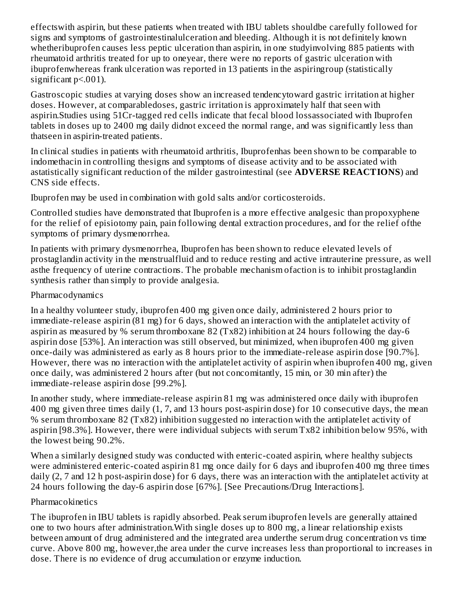effectswith aspirin, but these patients when treated with IBU tablets shouldbe carefully followed for signs and symptoms of gastrointestinalulceration and bleeding. Although it is not definitely known whetheribuprofen causes less peptic ulceration than aspirin, in one studyinvolving 885 patients with rheumatoid arthritis treated for up to oneyear, there were no reports of gastric ulceration with ibuprofenwhereas frank ulceration was reported in 13 patients in the aspiringroup (statistically significant  $p<.001$ ).

Gastroscopic studies at varying doses show an increased tendencytoward gastric irritation at higher doses. However, at comparabledoses, gastric irritation is approximately half that seen with aspirin.Studies using 51Cr-tagged red cells indicate that fecal blood lossassociated with Ibuprofen tablets in doses up to 2400 mg daily didnot exceed the normal range, and was significantly less than thatseen in aspirin-treated patients.

In clinical studies in patients with rheumatoid arthritis, Ibuprofenhas been shown to be comparable to indomethacin in controlling thesigns and symptoms of disease activity and to be associated with astatistically significant reduction of the milder gastrointestinal (see **ADVERSE REACTIONS**) and CNS side effects.

Ibuprofen may be used in combination with gold salts and/or corticosteroids.

Controlled studies have demonstrated that Ibuprofen is a more effective analgesic than propoxyphene for the relief of episiotomy pain, pain following dental extraction procedures, and for the relief ofthe symptoms of primary dysmenorrhea.

In patients with primary dysmenorrhea, Ibuprofen has been shown to reduce elevated levels of prostaglandin activity in the menstrualfluid and to reduce resting and active intrauterine pressure, as well asthe frequency of uterine contractions. The probable mechanism ofaction is to inhibit prostaglandin synthesis rather than simply to provide analgesia.

#### Pharmacodynamics

In a healthy volunteer study, ibuprofen 400 mg given once daily, administered 2 hours prior to immediate-release aspirin (81 mg) for 6 days, showed an interaction with the antiplatelet activity of aspirin as measured by % serum thromboxane 82 (Tx82) inhibition at 24 hours following the day-6 aspirin dose [53%]. An interaction was still observed, but minimized, when ibuprofen 400 mg given once-daily was administered as early as 8 hours prior to the immediate-release aspirin dose [90.7%]. However, there was no interaction with the antiplatelet activity of aspirin when ibuprofen 400 mg, given once daily, was administered 2 hours after (but not concomitantly, 15 min, or 30 min after) the immediate-release aspirin dose [99.2%].

In another study, where immediate-release aspirin 81 mg was administered once daily with ibuprofen 400 mg given three times daily (1, 7, and 13 hours post-aspirin dose) for 10 consecutive days, the mean % serum thromboxane 82 (Tx82) inhibition suggested no interaction with the antiplatelet activity of aspirin [98.3%]. However, there were individual subjects with serum Tx82 inhibition below 95%, with the lowest being 90.2%.

When a similarly designed study was conducted with enteric-coated aspirin, where healthy subjects were administered enteric-coated aspirin 81 mg once daily for 6 days and ibuprofen 400 mg three times daily (2, 7 and 12 h post-aspirin dose) for 6 days, there was an interaction with the antiplatelet activity at 24 hours following the day-6 aspirin dose [67%]. [See Precautions/Drug Interactions].

#### Pharmacokinetics

The ibuprofen in IBU tablets is rapidly absorbed. Peak serum ibuprofen levels are generally attained one to two hours after administration.With single doses up to 800 mg, a linear relationship exists between amount of drug administered and the integrated area underthe serum drug concentration vs time curve. Above 800 mg, however,the area under the curve increases less than proportional to increases in dose. There is no evidence of drug accumulation or enzyme induction.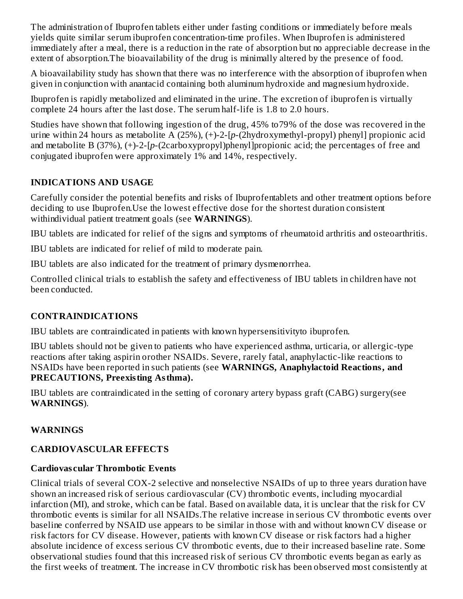The administration of Ibuprofen tablets either under fasting conditions or immediately before meals yields quite similar serum ibuprofen concentration-time profiles. When Ibuprofen is administered immediately after a meal, there is a reduction in the rate of absorption but no appreciable decrease in the extent of absorption.The bioavailability of the drug is minimally altered by the presence of food.

A bioavailability study has shown that there was no interference with the absorption of ibuprofen when given in conjunction with anantacid containing both aluminum hydroxide and magnesium hydroxide.

Ibuprofen is rapidly metabolized and eliminated in the urine. The excretion of ibuprofen is virtually complete 24 hours after the last dose. The serum half-life is 1.8 to 2.0 hours.

Studies have shown that following ingestion of the drug, 45% to79% of the dose was recovered in the urine within 24 hours as metabolite A (25%), (+)-2-[*p*-(2hydroxymethyl-propyl) phenyl] propionic acid and metabolite B (37%), (+)-2-[*p*-(2carboxypropyl)phenyl]propionic acid; the percentages of free and conjugated ibuprofen were approximately 1% and 14%, respectively.

## **INDICATIONS AND USAGE**

Carefully consider the potential benefits and risks of Ibuprofentablets and other treatment options before deciding to use Ibuprofen.Use the lowest effective dose for the shortest duration consistent withindividual patient treatment goals (see **WARNINGS**).

IBU tablets are indicated for relief of the signs and symptoms of rheumatoid arthritis and osteoarthritis.

IBU tablets are indicated for relief of mild to moderate pain.

IBU tablets are also indicated for the treatment of primary dysmenorrhea.

Controlled clinical trials to establish the safety and effectiveness of IBU tablets in children have not been conducted.

## **CONTRAINDICATIONS**

IBU tablets are contraindicated in patients with known hypersensitivityto ibuprofen.

IBU tablets should not be given to patients who have experienced asthma, urticaria, or allergic-type reactions after taking aspirin orother NSAIDs. Severe, rarely fatal, anaphylactic-like reactions to NSAIDs have been reported in such patients (see **WARNINGS, Anaphylactoid Reactions, and PRECAUTIONS, Preexisting Asthma).**

IBU tablets are contraindicated in the setting of coronary artery bypass graft (CABG) surgery(see **WARNINGS**).

## **WARNINGS**

## **CARDIOVASCULAR EFFECTS**

## **Cardiovas cular Thrombotic Events**

Clinical trials of several COX-2 selective and nonselective NSAIDs of up to three years duration have shown an increased risk of serious cardiovascular (CV) thrombotic events, including myocardial infarction (MI), and stroke, which can be fatal. Based on available data, it is unclear that the risk for CV thrombotic events is similar for all NSAIDs.The relative increase in serious CV thrombotic events over baseline conferred by NSAID use appears to be similar in those with and without known CV disease or risk factors for CV disease. However, patients with known CV disease or risk factors had a higher absolute incidence of excess serious CV thrombotic events, due to their increased baseline rate. Some observational studies found that this increased risk of serious CV thrombotic events began as early as the first weeks of treatment. The increase in CV thrombotic risk has been observed most consistently at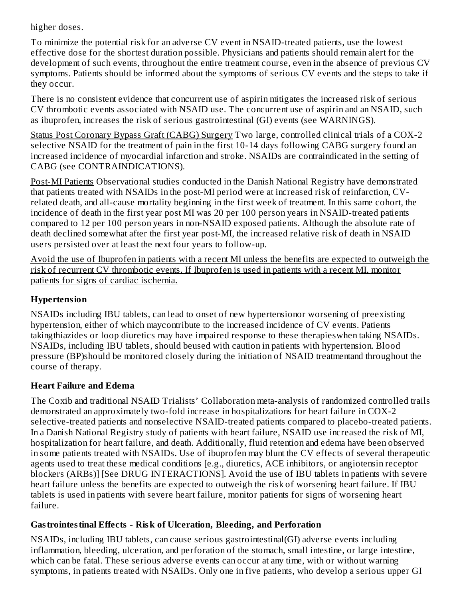higher doses.

To minimize the potential risk for an adverse CV event in NSAID-treated patients, use the lowest effective dose for the shortest duration possible. Physicians and patients should remain alert for the development of such events, throughout the entire treatment course, even in the absence of previous CV symptoms. Patients should be informed about the symptoms of serious CV events and the steps to take if they occur.

There is no consistent evidence that concurrent use of aspirin mitigates the increased risk of serious CV thrombotic events associated with NSAID use. The concurrent use of aspirin and an NSAID, such as ibuprofen, increases the risk of serious gastrointestinal (GI) events (see WARNINGS).

Status Post Coronary Bypass Graft (CABG) Surgery Two large, controlled clinical trials of a COX-2 selective NSAID for the treatment of pain in the first 10-14 days following CABG surgery found an increased incidence of myocardial infarction and stroke. NSAIDs are contraindicated in the setting of CABG (see CONTRAINDICATIONS).

Post-MI Patients Observational studies conducted in the Danish National Registry have demonstrated that patients treated with NSAIDs in the post-MI period were at increased risk of reinfarction, CVrelated death, and all-cause mortality beginning in the first week of treatment. In this same cohort, the incidence of death in the first year post MI was 20 per 100 person years in NSAID-treated patients compared to 12 per 100 person years in non-NSAID exposed patients. Although the absolute rate of death declined somewhat after the first year post-MI, the increased relative risk of death in NSAID users persisted over at least the next four years to follow-up.

Avoid the use of Ibuprofen in patients with a recent MI unless the benefits are expected to outweigh the risk of recurrent CV thrombotic events. If Ibuprofen is used in patients with a recent MI, monitor patients for signs of cardiac ischemia.

## **Hypertension**

NSAIDs including IBU tablets, can lead to onset of new hypertensionor worsening of preexisting hypertension, either of which maycontribute to the increased incidence of CV events. Patients takingthiazides or loop diuretics may have impaired response to these therapieswhen taking NSAIDs. NSAIDs, including IBU tablets, should beused with caution in patients with hypertension. Blood pressure (BP)should be monitored closely during the initiation of NSAID treatmentand throughout the course of therapy.

## **Heart Failure and Edema**

The Coxib and traditional NSAID Trialists' Collaboration meta-analysis of randomized controlled trails demonstrated an approximately two-fold increase in hospitalizations for heart failure in COX-2 selective-treated patients and nonselective NSAID-treated patients compared to placebo-treated patients. In a Danish National Registry study of patients with heart failure, NSAID use increased the risk of MI, hospitalization for heart failure, and death. Additionally, fluid retention and edema have been observed in some patients treated with NSAIDs. Use of ibuprofen may blunt the CV effects of several therapeutic agents used to treat these medical conditions [e.g., diuretics, ACE inhibitors, or angiotensin receptor blockers (ARBs)] [See DRUG INTERACTIONS]. Avoid the use of IBU tablets in patients with severe heart failure unless the benefits are expected to outweigh the risk of worsening heart failure. If IBU tablets is used in patients with severe heart failure, monitor patients for signs of worsening heart failure.

## **Gastrointestinal Effects - Risk of Ulceration, Bleeding, and Perforation**

NSAIDs, including IBU tablets, can cause serious gastrointestinal(GI) adverse events including inflammation, bleeding, ulceration, and perforation of the stomach, small intestine, or large intestine, which can be fatal. These serious adverse events can occur at any time, with or without warning symptoms, in patients treated with NSAIDs. Only one in five patients, who develop a serious upper GI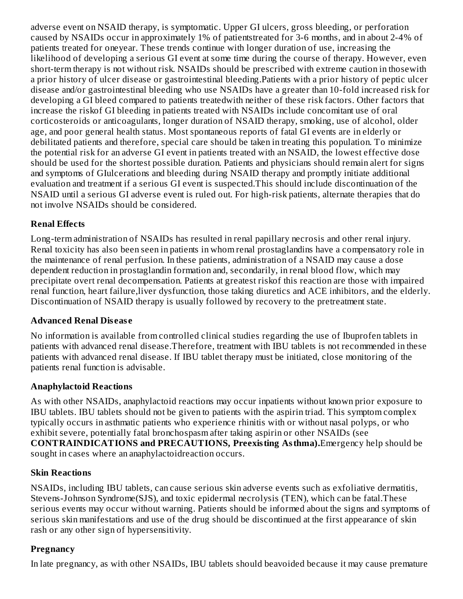adverse event on NSAID therapy, is symptomatic. Upper GI ulcers, gross bleeding, or perforation caused by NSAIDs occur in approximately 1% of patientstreated for 3-6 months, and in about 2-4% of patients treated for oneyear. These trends continue with longer duration of use, increasing the likelihood of developing a serious GI event at some time during the course of therapy. However, even short-term therapy is not without risk. NSAIDs should be prescribed with extreme caution in thosewith a prior history of ulcer disease or gastrointestinal bleeding.Patients with a prior history of peptic ulcer disease and/or gastrointestinal bleeding who use NSAIDs have a greater than 10-fold increased risk for developing a GI bleed compared to patients treatedwith neither of these risk factors. Other factors that increase the riskof GI bleeding in patients treated with NSAIDs include concomitant use of oral corticosteroids or anticoagulants, longer duration of NSAID therapy, smoking, use of alcohol, older age, and poor general health status. Most spontaneous reports of fatal GI events are in elderly or debilitated patients and therefore, special care should be taken in treating this population. To minimize the potential risk for an adverse GI event in patients treated with an NSAID, the lowest effective dose should be used for the shortest possible duration. Patients and physicians should remain alert for signs and symptoms of GIulcerations and bleeding during NSAID therapy and promptly initiate additional evaluation and treatment if a serious GI event is suspected.This should include discontinuation of the NSAID until a serious GI adverse event is ruled out. For high-risk patients, alternate therapies that do not involve NSAIDs should be considered.

## **Renal Effects**

Long-term administration of NSAIDs has resulted in renal papillary necrosis and other renal injury. Renal toxicity has also been seen in patients in whom renal prostaglandins have a compensatory role in the maintenance of renal perfusion. In these patients, administration of a NSAID may cause a dose dependent reduction in prostaglandin formation and, secondarily, in renal blood flow, which may precipitate overt renal decompensation. Patients at greatest riskof this reaction are those with impaired renal function, heart failure,liver dysfunction, those taking diuretics and ACE inhibitors, and the elderly. Discontinuation of NSAID therapy is usually followed by recovery to the pretreatment state.

#### **Advanced Renal Dis eas e**

No information is available from controlled clinical studies regarding the use of Ibuprofen tablets in patients with advanced renal disease.Therefore, treatment with IBU tablets is not recommended in these patients with advanced renal disease. If IBU tablet therapy must be initiated, close monitoring of the patients renal function is advisable.

#### **Anaphylactoid Reactions**

As with other NSAIDs, anaphylactoid reactions may occur inpatients without known prior exposure to IBU tablets. IBU tablets should not be given to patients with the aspirin triad. This symptom complex typically occurs in asthmatic patients who experience rhinitis with or without nasal polyps, or who exhibit severe, potentially fatal bronchospasm after taking aspirin or other NSAIDs (see **CONTRAINDICATIONS and PRECAUTIONS, Preexisting Asthma).**Emergency help should be sought in cases where an anaphylactoidreaction occurs.

#### **Skin Reactions**

NSAIDs, including IBU tablets, can cause serious skin adverse events such as exfoliative dermatitis, Stevens-Johnson Syndrome(SJS), and toxic epidermal necrolysis (TEN), which can be fatal.These serious events may occur without warning. Patients should be informed about the signs and symptoms of serious skin manifestations and use of the drug should be discontinued at the first appearance of skin rash or any other sign of hypersensitivity.

#### **Pregnancy**

In late pregnancy, as with other NSAIDs, IBU tablets should beavoided because it may cause premature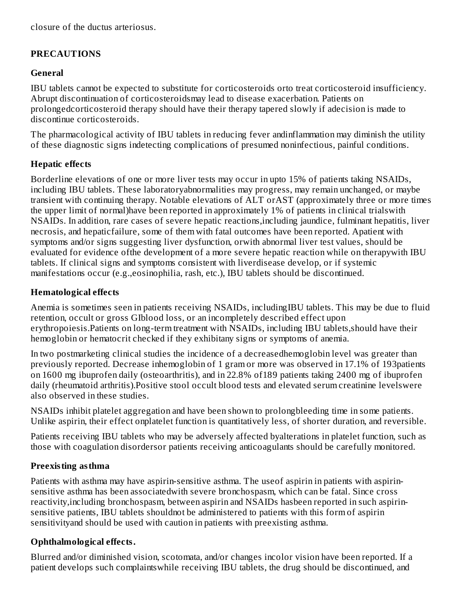closure of the ductus arteriosus.

## **PRECAUTIONS**

## **General**

IBU tablets cannot be expected to substitute for corticosteroids orto treat corticosteroid insufficiency. Abrupt discontinuation of corticosteroidsmay lead to disease exacerbation. Patients on prolongedcorticosteroid therapy should have their therapy tapered slowly if adecision is made to discontinue corticosteroids.

The pharmacological activity of IBU tablets in reducing fever andinflammation may diminish the utility of these diagnostic signs indetecting complications of presumed noninfectious, painful conditions.

## **Hepatic effects**

Borderline elevations of one or more liver tests may occur in upto 15% of patients taking NSAIDs, including IBU tablets. These laboratoryabnormalities may progress, may remain unchanged, or maybe transient with continuing therapy. Notable elevations of ALT orAST (approximately three or more times the upper limit of normal)have been reported in approximately 1% of patients in clinical trialswith NSAIDs. In addition, rare cases of severe hepatic reactions,including jaundice, fulminant hepatitis, liver necrosis, and hepaticfailure, some of them with fatal outcomes have been reported. Apatient with symptoms and/or signs suggesting liver dysfunction, orwith abnormal liver test values, should be evaluated for evidence ofthe development of a more severe hepatic reaction while on therapywith IBU tablets. If clinical signs and symptoms consistent with liverdisease develop, or if systemic manifestations occur (e.g.,eosinophilia, rash, etc.), IBU tablets should be discontinued.

## **Hematological effects**

Anemia is sometimes seen in patients receiving NSAIDs, includingIBU tablets. This may be due to fluid retention, occult or gross GIblood loss, or an incompletely described effect upon erythropoiesis.Patients on long-term treatment with NSAIDs, including IBU tablets,should have their hemoglobin or hematocrit checked if they exhibitany signs or symptoms of anemia.

In two postmarketing clinical studies the incidence of a decreasedhemoglobin level was greater than previously reported. Decrease inhemoglobin of 1 gram or more was observed in 17.1% of 193patients on 1600 mg ibuprofen daily (osteoarthritis), and in 22.8% of189 patients taking 2400 mg of ibuprofen daily (rheumatoid arthritis).Positive stool occult blood tests and elevated serum creatinine levelswere also observed in these studies.

NSAIDs inhibit platelet aggregation and have been shown to prolongbleeding time in some patients. Unlike aspirin, their effect onplatelet function is quantitatively less, of shorter duration, and reversible.

Patients receiving IBU tablets who may be adversely affected byalterations in platelet function, such as those with coagulation disordersor patients receiving anticoagulants should be carefully monitored.

## **Preexisting asthma**

Patients with asthma may have aspirin-sensitive asthma. The useof aspirin in patients with aspirinsensitive asthma has been associatedwith severe bronchospasm, which can be fatal. Since cross reactivity,including bronchospasm, between aspirin and NSAIDs hasbeen reported in such aspirinsensitive patients, IBU tablets shouldnot be administered to patients with this form of aspirin sensitivityand should be used with caution in patients with preexisting asthma.

## **Ophthalmological effects.**

Blurred and/or diminished vision, scotomata, and/or changes incolor vision have been reported. If a patient develops such complaintswhile receiving IBU tablets, the drug should be discontinued, and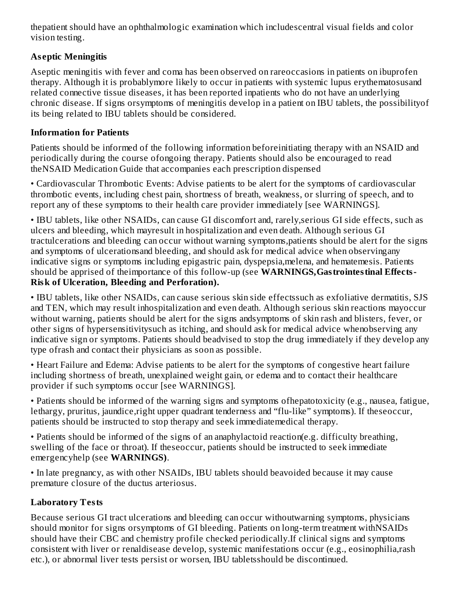thepatient should have an ophthalmologic examination which includescentral visual fields and color vision testing.

## **As eptic Meningitis**

Aseptic meningitis with fever and coma has been observed on rareoccasions in patients on ibuprofen therapy. Although it is probablymore likely to occur in patients with systemic lupus erythematosusand related connective tissue diseases, it has been reported inpatients who do not have an underlying chronic disease. If signs orsymptoms of meningitis develop in a patient on IBU tablets, the possibilityof its being related to IBU tablets should be considered.

## **Information for Patients**

Patients should be informed of the following information beforeinitiating therapy with an NSAID and periodically during the course ofongoing therapy. Patients should also be encouraged to read theNSAID Medication Guide that accompanies each prescription dispensed

• Cardiovascular Thrombotic Events: Advise patients to be alert for the symptoms of cardiovascular thrombotic events, including chest pain, shortness of breath, weakness, or slurring of speech, and to report any of these symptoms to their health care provider immediately [see WARNINGS].

• IBU tablets, like other NSAIDs, can cause GI discomfort and, rarely,serious GI side effects, such as ulcers and bleeding, which mayresult in hospitalization and even death. Although serious GI tractulcerations and bleeding can occur without warning symptoms,patients should be alert for the signs and symptoms of ulcerationsand bleeding, and should ask for medical advice when observingany indicative signs or symptoms including epigastric pain, dyspepsia,melena, and hematemesis. Patients should be apprised of theimportance of this follow-up (see **WARNINGS,Gastrointestinal Effects-Risk of Ulceration, Bleeding and Perforation).**

• IBU tablets, like other NSAIDs, can cause serious skin side effectssuch as exfoliative dermatitis, SJS and TEN, which may result inhospitalization and even death. Although serious skin reactions mayoccur without warning, patients should be alert for the signs andsymptoms of skin rash and blisters, fever, or other signs of hypersensitivitysuch as itching, and should ask for medical advice whenobserving any indicative sign or symptoms. Patients should beadvised to stop the drug immediately if they develop any type ofrash and contact their physicians as soon as possible.

• Heart Failure and Edema: Advise patients to be alert for the symptoms of congestive heart failure including shortness of breath, unexplained weight gain, or edema and to contact their healthcare provider if such symptoms occur [see WARNINGS].

• Patients should be informed of the warning signs and symptoms ofhepatotoxicity (e.g., nausea, fatigue, lethargy, pruritus, jaundice,right upper quadrant tenderness and "flu-like" symptoms). If theseoccur, patients should be instructed to stop therapy and seek immediatemedical therapy.

• Patients should be informed of the signs of an anaphylactoid reaction(e.g. difficulty breathing, swelling of the face or throat). If theseoccur, patients should be instructed to seek immediate emergencyhelp (see **WARNINGS)**.

• In late pregnancy, as with other NSAIDs, IBU tablets should beavoided because it may cause premature closure of the ductus arteriosus.

# **Laboratory Tests**

Because serious GI tract ulcerations and bleeding can occur withoutwarning symptoms, physicians should monitor for signs orsymptoms of GI bleeding. Patients on long-term treatment withNSAIDs should have their CBC and chemistry profile checked periodically.If clinical signs and symptoms consistent with liver or renaldisease develop, systemic manifestations occur (e.g., eosinophilia,rash etc.), or abnormal liver tests persist or worsen, IBU tabletsshould be discontinued.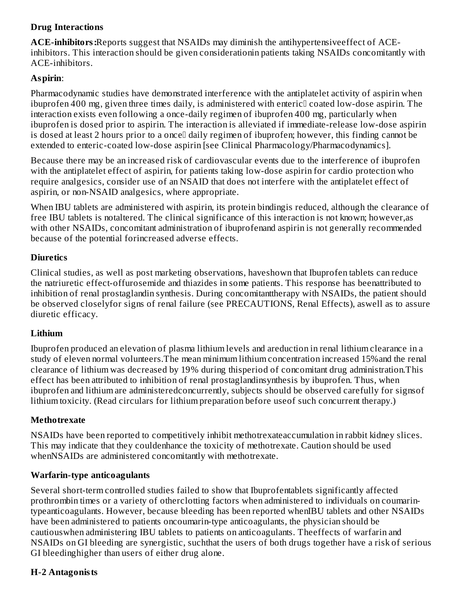## **Drug Interactions**

**ACE-inhibitors:**Reports suggest that NSAIDs may diminish the antihypertensiveeffect of ACEinhibitors. This interaction should be given considerationin patients taking NSAIDs concomitantly with ACE-inhibitors.

## **Aspirin**:

Pharmacodynamic studies have demonstrated interference with the antiplatelet activity of aspirin when ibuprofen 400 mg, given three times daily, is administered with enteric<sup>[]</sup> coated low-dose aspirin. The interaction exists even following a once-daily regimen of ibuprofen 400 mg, particularly when ibuprofen is dosed prior to aspirin. The interaction is alleviated if immediate-release low-dose aspirin is dosed at least 2 hours prior to a once<sup>[]</sup> daily regimen of ibuprofen; however, this finding cannot be extended to enteric-coated low-dose aspirin [see Clinical Pharmacology/Pharmacodynamics].

Because there may be an increased risk of cardiovascular events due to the interference of ibuprofen with the antiplatelet effect of aspirin, for patients taking low-dose aspirin for cardio protection who require analgesics, consider use of an NSAID that does not interfere with the antiplatelet effect of aspirin, or non-NSAID analgesics, where appropriate.

When IBU tablets are administered with aspirin, its protein bindingis reduced, although the clearance of free IBU tablets is notaltered. The clinical significance of this interaction is not known; however,as with other NSAIDs, concomitant administration of ibuprofenand aspirin is not generally recommended because of the potential forincreased adverse effects.

## **Diuretics**

Clinical studies, as well as post marketing observations, haveshown that Ibuprofen tablets can reduce the natriuretic effect-offurosemide and thiazides in some patients. This response has beenattributed to inhibition of renal prostaglandin synthesis. During concomitanttherapy with NSAIDs, the patient should be observed closelyfor signs of renal failure (see PRECAUTIONS, Renal Effects), aswell as to assure diuretic efficacy.

## **Lithium**

Ibuprofen produced an elevation of plasma lithium levels and areduction in renal lithium clearance in a study of eleven normal volunteers.The mean minimum lithium concentration increased 15%and the renal clearance of lithium was decreased by 19% during thisperiod of concomitant drug administration.This effect has been attributed to inhibition of renal prostaglandinsynthesis by ibuprofen. Thus, when ibuprofen and lithium are administeredconcurrently, subjects should be observed carefully for signsof lithium toxicity. (Read circulars for lithium preparation before useof such concurrent therapy.)

## **Methotrexate**

NSAIDs have been reported to competitively inhibit methotrexateaccumulation in rabbit kidney slices. This may indicate that they couldenhance the toxicity of methotrexate. Caution should be used whenNSAIDs are administered concomitantly with methotrexate.

## **Warfarin-type anticoagulants**

Several short-term controlled studies failed to show that Ibuprofentablets significantly affected prothrombin times or a variety of otherclotting factors when administered to individuals on coumarintypeanticoagulants. However, because bleeding has been reported whenIBU tablets and other NSAIDs have been administered to patients oncoumarin-type anticoagulants, the physician should be cautiouswhen administering IBU tablets to patients on anticoagulants. Theeffects of warfarin and NSAIDs on GI bleeding are synergistic, suchthat the users of both drugs together have a risk of serious GI bleedinghigher than users of either drug alone.

## **H-2 Antagonists**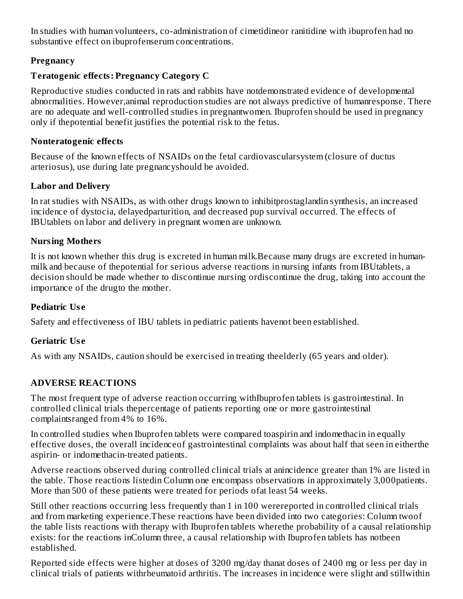In studies with human volunteers, co-administration of cimetidineor ranitidine with ibuprofen had no substantive effect on ibuprofenserum concentrations.

## **Pregnancy**

#### **Teratogenic effects: Pregnancy Category C**

Reproductive studies conducted in rats and rabbits have notdemonstrated evidence of developmental abnormalities. However,animal reproduction studies are not always predictive of humanresponse. There are no adequate and well-controlled studies in pregnantwomen. Ibuprofen should be used in pregnancy only if thepotential benefit justifies the potential risk to the fetus.

#### **Nonteratogenic effects**

Because of the known effects of NSAIDs on the fetal cardiovascularsystem (closure of ductus arteriosus), use during late pregnancyshould be avoided.

#### **Labor and Delivery**

In rat studies with NSAIDs, as with other drugs known to inhibitprostaglandin synthesis, an increased incidence of dystocia, delayedparturition, and decreased pup survival occurred. The effects of IBUtablets on labor and delivery in pregnant women are unknown.

## **Nursing Mothers**

It is not known whether this drug is excreted in human milk.Because many drugs are excreted in humanmilk and because of thepotential for serious adverse reactions in nursing infants from IBUtablets, a decision should be made whether to discontinue nursing ordiscontinue the drug, taking into account the importance of the drugto the mother.

#### **Pediatric Us e**

Safety and effectiveness of IBU tablets in pediatric patients havenot been established.

#### **Geriatric Us e**

As with any NSAIDs, caution should be exercised in treating theelderly (65 years and older).

## **ADVERSE REACTIONS**

The most frequent type of adverse reaction occurring withIbuprofen tablets is gastrointestinal. In controlled clinical trials thepercentage of patients reporting one or more gastrointestinal complaintsranged from 4% to 16%.

In controlled studies when Ibuprofen tablets were compared toaspirin and indomethacin in equally effective doses, the overall incidenceof gastrointestinal complaints was about half that seen in eitherthe aspirin- or indomethacin-treated patients.

Adverse reactions observed during controlled clinical trials at anincidence greater than 1% are listed in the table. Those reactions listedin Column one encompass observations in approximately 3,000patients. More than 500 of these patients were treated for periods ofat least 54 weeks.

Still other reactions occurring less frequently than 1 in 100 werereported in controlled clinical trials and from marketing experience.These reactions have been divided into two categories: Column twoof the table lists reactions with therapy with Ibuprofen tablets wherethe probability of a causal relationship exists: for the reactions inColumn three, a causal relationship with Ibuprofen tablets has notbeen established.

Reported side effects were higher at doses of 3200 mg/day thanat doses of 2400 mg or less per day in clinical trials of patients withrheumatoid arthritis. The increases in incidence were slight and stillwithin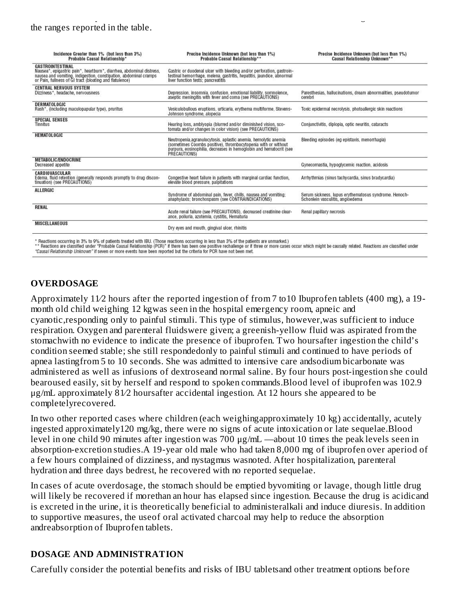| Incidence Greater than 1% (but less than 3%)<br>Probable Causal Relationship*                                                                                                                                                  | Precise Incidence Unknown (but less than 1%)<br>Probable Causal Relationship**                                                                                                                                        | Precise Incidence Unknown (but less than 1%)<br>Causal Relationship Unknown**             |
|--------------------------------------------------------------------------------------------------------------------------------------------------------------------------------------------------------------------------------|-----------------------------------------------------------------------------------------------------------------------------------------------------------------------------------------------------------------------|-------------------------------------------------------------------------------------------|
| <b>GASTROINTESTINAL</b><br>Nausea*, epigastric pain*, heartburn*, diarrhea, abdominal distress,<br>nausea and vomiting, indigestion, constipation, abdominal cramps<br>or Pain, fullness of GI tract (bloating and flatulence) | Gastric or duodenal ulcer with bleeding and/or perforation, gastroin-<br>testinal hemorrhage, melena, gastritis, hepatitis, jaundice, abnormal<br>liver function tests; pancreatitis                                  |                                                                                           |
| <b>CENTRAL NERVOUS SYSTEM</b><br>Dizziness*, headache, nervousness                                                                                                                                                             | Depression, insomnia, confusion, emotional liability, somnolence,<br>aseptic meningitis with fever and coma (see PRECAUTIONS)                                                                                         | Paresthesias, hallucinations, dream abnormalities, pseudotumor<br>cerebri                 |
| <b>DERMATOLOGIC</b><br>Rash*, (including maculopapular type), pruritus                                                                                                                                                         | Vesiculobullous eruptions, urticaria, erythema multiforme, Stevens-<br>Johnson syndrome, alopecia                                                                                                                     | Toxic epidermal necrolysis, photoallergic skin reactions                                  |
| <b>SPECIAL SENSES</b><br>Tinnitus                                                                                                                                                                                              | Hearing loss, amblyopia (blurred and/or diminished vision, sco-<br>tomata and/or changes in color vision) (see PRECAUTIONS)                                                                                           | Conjunctivitis, diplopia, optic neuritis, cataracts                                       |
| <b>HEMATOLOGIC</b>                                                                                                                                                                                                             | Neutropenia.agranulocytosis, aplastic anemia, hemolytic anemia<br>(sometimes Coombs positive), thrombocytopenia with or without<br>purpura, eosinophilia, decreases in hemoglobin and hematocrit (see<br>PRECAUTIONS) | Bleeding episodes (eg epistaxis, menomhagia)                                              |
| <b>METABOLIC/ENDOCRINE</b><br>Decreased appetite                                                                                                                                                                               |                                                                                                                                                                                                                       | Gynecomastia, hypoglycemic reaction, acidosis                                             |
| CARDIOVASCULAR<br>Edema, fluid retention (generally responds promptly to drug discon-<br>tinuation) (see PRECAUTIONS)                                                                                                          | Congestive heart failure in patients with marginal cardiac function,<br>elevate blood pressure, palpitations                                                                                                          | Arrhythmias (sinus tachycardia, sinus bradycardia)                                        |
| <b>ALLERGIC</b>                                                                                                                                                                                                                | Syndrome of abdominal pain, fever, chills, nausea and vomiting;<br>anaphylaxis: bronchospasm (see CONTRAINDICATIONS)                                                                                                  | Serum sickness, lupus erythematosus syndrome. Henoch-<br>Schonlein vasculitis, angioedema |
| <b>RENAL</b>                                                                                                                                                                                                                   | Acute renal failure (see PRECAUTIONS), decreased creatinine clear-<br>ance, poliuria, azotemia, cystitis, Hematuria                                                                                                   | Renal papillary necrosis                                                                  |
| <b>MISCELLANEOUS</b>                                                                                                                                                                                                           | Dry eyes and mouth, gingival ulcer, rhinitis                                                                                                                                                                          |                                                                                           |

\* Reactions occurring in 3% to 9% of patients treated with IBU. (Those reactions occurring in less than 3% of the patients are unmarked.)<br>\*\* Reactions are classified under "Probable Causal Relationship (PCR)" if there has

"Causal Relationship Unknown" if seven or more events have been reported but the criteria for PCR have not been met.

## **OVERDOSAGE**

Approximately 11⁄2 hours after the reported ingestion of from 7 to10 Ibuprofen tablets (400 mg), a 19 month old child weighing 12 kgwas seen in the hospital emergency room, apneic and cyanotic,responding only to painful stimuli. This type of stimulus, however,was sufficient to induce respiration. Oxygen and parenteral fluidswere given; a greenish-yellow fluid was aspirated from the stomachwith no evidence to indicate the presence of ibuprofen. Two hoursafter ingestion the child's condition seemed stable; she still respondedonly to painful stimuli and continued to have periods of apnea lastingfrom 5 to 10 seconds. She was admitted to intensive care andsodium bicarbonate was administered as well as infusions of dextroseand normal saline. By four hours post-ingestion she could bearoused easily, sit by herself and respond to spoken commands.Blood level of ibuprofen was 102.9 μg/mL approximately 81⁄2 hoursafter accidental ingestion. At 12 hours she appeared to be completelyrecovered.

In two other reported cases where children (each weighingapproximately 10 kg) accidentally, acutely ingested approximately120 mg/kg, there were no signs of acute intoxication or late sequelae.Blood level in one child 90 minutes after ingestion was 700 μg/mL —about 10 times the peak levels seen in absorption-excretion studies.A 19-year old male who had taken 8,000 mg of ibuprofen over aperiod of a few hours complained of dizziness, and nystagmus wasnoted. After hospitalization, parenteral hydration and three days bedrest, he recovered with no reported sequelae.

In cases of acute overdosage, the stomach should be emptied byvomiting or lavage, though little drug will likely be recovered if morethan an hour has elapsed since ingestion. Because the drug is acidicand is excreted in the urine, it is theoretically beneficial to administeralkali and induce diuresis. In addition to supportive measures, the useof oral activated charcoal may help to reduce the absorption andreabsorption of Ibuprofen tablets.

#### **DOSAGE AND ADMINISTRATION**

Carefully consider the potential benefits and risks of IBU tabletsand other treatment options before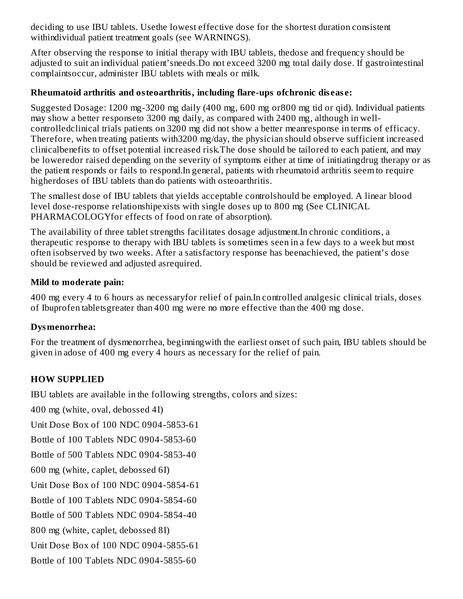deciding to use IBU tablets. Usethe lowest effective dose for the shortest duration consistent withindividual patient treatment goals (see WARNINGS).

After observing the response to initial therapy with IBU tablets, thedose and frequency should be adjusted to suit an individual patient'sneeds.Do not exceed 3200 mg total daily dose. If gastrointestinal complaintsoccur, administer IBU tablets with meals or milk.

#### **Rheumatoid arthritis and osteoarthritis, including flare-ups ofchronic dis eas e:**

Suggested Dosage: 1200 mg-3200 mg daily (400 mg, 600 mg or800 mg tid or qid). Individual patients may show a better responseto 3200 mg daily, as compared with 2400 mg, although in wellcontrolledclinical trials patients on 3200 mg did not show a better meanresponse in terms of efficacy. Therefore, when treating patients with3200 mg/day, the physician should observe sufficient increased clinicalbenefits to offset potential increased risk.The dose should be tailored to each patient, and may be loweredor raised depending on the severity of symptoms either at time of initiatingdrug therapy or as the patient responds or fails to respond.In general, patients with rheumatoid arthritis seem to require higherdoses of IBU tablets than do patients with osteoarthritis.

The smallest dose of IBU tablets that yields acceptable controlshould be employed. A linear blood level dose-response relationshipexists with single doses up to 800 mg (See CLINICAL PHARMACOLOGYfor effects of food on rate of absorption).

The availability of three tablet strengths facilitates dosage adjustment.In chronic conditions, a therapeutic response to therapy with IBU tablets is sometimes seen in a few days to a week but most often isobserved by two weeks. After a satisfactory response has beenachieved, the patient's dose should be reviewed and adjusted asrequired.

#### **Mild to moderate pain:**

400 mg every 4 to 6 hours as necessaryfor relief of pain.In controlled analgesic clinical trials, doses of Ibuprofen tabletsgreater than 400 mg were no more effective than the 400 mg dose.

#### **Dysmenorrhea:**

For the treatment of dysmenorrhea, beginningwith the earliest onset of such pain, IBU tablets should be given in adose of 400 mg every 4 hours as necessary for the relief of pain.

## **HOW SUPPLIED**

IBU tablets are available in the following strengths, colors and sizes:

400 mg (white, oval, debossed 4I)

Unit Dose Box of 100 NDC 0904-5853-61

Bottle of 100 Tablets NDC 0904-5853-60

Bottle of 500 Tablets NDC 0904-5853-40

600 mg (white, caplet, debossed 6I)

Unit Dose Box of 100 NDC 0904-5854-61

Bottle of 100 Tablets NDC 0904-5854-60

Bottle of 500 Tablets NDC 0904-5854-40

800 mg (white, caplet, debossed 8I)

Unit Dose Box of 100 NDC 0904-5855-61

Bottle of 100 Tablets NDC 0904-5855-60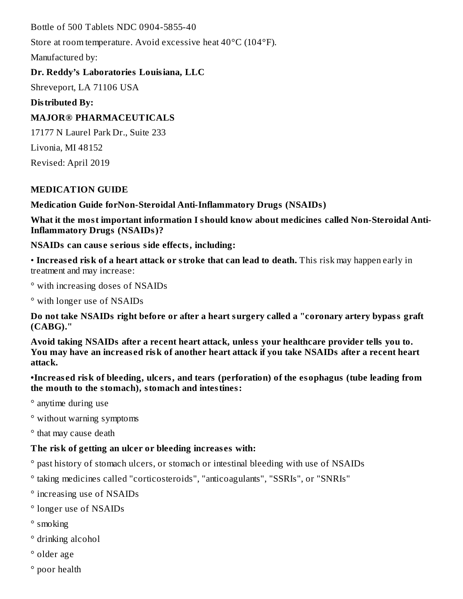Bottle of 500 Tablets NDC 0904-5855-40

Store at room temperature. Avoid excessive heat 40°C (104°F).

Manufactured by:

## **Dr. Reddy's Laboratories Louisiana, LLC**

Shreveport, LA 71106 USA

**Distributed By:**

# **MAJOR® PHARMACEUTICALS**

17177 N Laurel Park Dr., Suite 233 Livonia, MI 48152 Revised: April 2019

# **MEDICATION GUIDE**

**Medication Guide forNon-Steroidal Anti-Inflammatory Drugs (NSAIDs)**

**What it the most important information I should know about medicines called Non-Steroidal Anti-Inflammatory Drugs (NSAIDs)?**

**NSAIDs can caus e s erious side effects, including:**

• **Increas ed risk of a heart attack or stroke that can lead to death.** This risk may happen early in treatment and may increase:

° with increasing doses of NSAIDs

° with longer use of NSAIDs

**Do not take NSAIDs right before or after a heart surgery called a "coronary artery bypass graft (CABG)."**

**Avoid taking NSAIDs after a recent heart attack, unless your healthcare provider tells you to.** You may have an increased risk of another heart attack if you take NSAIDs after a recent heart **attack.**

**•Increas ed risk of bleeding, ulcers, and tears (perforation) of the esophagus (tube leading from the mouth to the stomach), stomach and intestines:**

° anytime during use

° without warning symptoms

° that may cause death

# **The risk of getting an ulcer or bleeding increas es with:**

° past history of stomach ulcers, or stomach or intestinal bleeding with use of NSAIDs

- ° taking medicines called "corticosteroids", "anticoagulants", "SSRIs", or "SNRIs"
- ° increasing use of NSAIDs
- ° longer use of NSAIDs
- ° smoking
- ° drinking alcohol
- ° older age
- ° poor health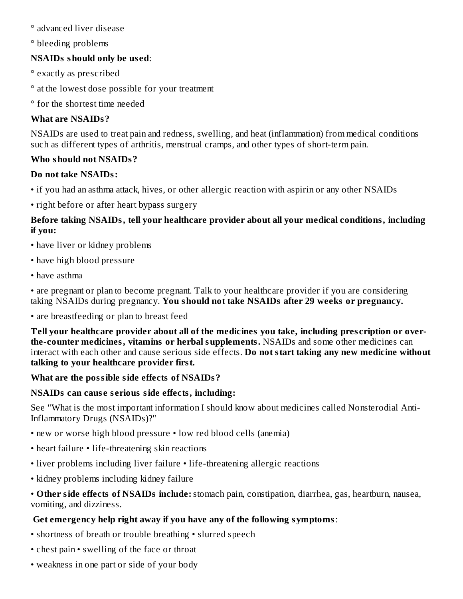#### ° advanced liver disease

° bleeding problems

# **NSAIDs should only be us ed**:

- ° exactly as prescribed
- ° at the lowest dose possible for your treatment
- ° for the shortest time needed

# **What are NSAIDs?**

NSAIDs are used to treat pain and redness, swelling, and heat (inflammation) from medical conditions such as different types of arthritis, menstrual cramps, and other types of short-term pain.

## **Who should not NSAIDs?**

## **Do not take NSAIDs:**

- if you had an asthma attack, hives, or other allergic reaction with aspirin or any other NSAIDs
- right before or after heart bypass surgery

## **Before taking NSAIDs, tell your healthcare provider about all your medical conditions, including if you:**

- have liver or kidney problems
- have high blood pressure
- have asthma

• are pregnant or plan to become pregnant. Talk to your healthcare provider if you are considering taking NSAIDs during pregnancy. **You should not take NSAIDs after 29 weeks or pregnancy.**

• are breastfeeding or plan to breast feed

**Tell your healthcare provider about all of the medicines you take, including pres cription or overthe-counter medicines, vitamins or herbal supplements.** NSAIDs and some other medicines can interact with each other and cause serious side effects. **Do not start taking any new medicine without talking to your healthcare provider first.**

# **What are the possible side effects of NSAIDs?**

# **NSAIDs can caus e s erious side effects, including:**

See "What is the most important information I should know about medicines called Nonsterodial Anti-Inflammatory Drugs (NSAIDs)?"

- new or worse high blood pressure low red blood cells (anemia)
- heart failure life-threatening skin reactions
- liver problems including liver failure life-threatening allergic reactions
- kidney problems including kidney failure

• **Other side effects of NSAIDs include:**stomach pain, constipation, diarrhea, gas, heartburn, nausea, vomiting, and dizziness.

# **Get emergency help right away if you have any of the following symptoms**:

- shortness of breath or trouble breathing slurred speech
- chest pain swelling of the face or throat
- weakness in one part or side of your body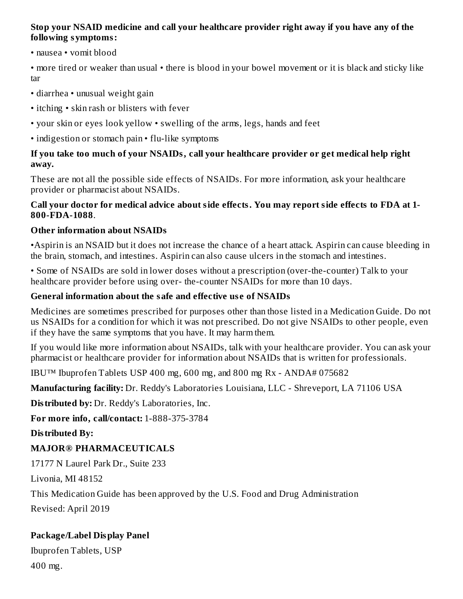## **Stop your NSAID medicine and call your healthcare provider right away if you have any of the following symptoms:**

• nausea • vomit blood

• more tired or weaker than usual • there is blood in your bowel movement or it is black and sticky like tar

- diarrhea unusual weight gain
- itching skin rash or blisters with fever
- your skin or eyes look yellow swelling of the arms, legs, hands and feet
- indigestion or stomach pain flu-like symptoms

#### **If you take too much of your NSAIDs, call your healthcare provider or get medical help right away.**

These are not all the possible side effects of NSAIDs. For more information, ask your healthcare provider or pharmacist about NSAIDs.

#### **Call your doctor for medical advice about side effects. You may report side effects to FDA at 1- 800-FDA-1088**.

## **Other information about NSAIDs**

•Aspirin is an NSAID but it does not increase the chance of a heart attack. Aspirin can cause bleeding in the brain, stomach, and intestines. Aspirin can also cause ulcers in the stomach and intestines.

• Some of NSAIDs are sold in lower doses without a prescription (over-the-counter) Talk to your healthcare provider before using over- the-counter NSAIDs for more than 10 days.

## **General information about the safe and effective us e of NSAIDs**

Medicines are sometimes prescribed for purposes other than those listed in a Medication Guide. Do not us NSAIDs for a condition for which it was not prescribed. Do not give NSAIDs to other people, even if they have the same symptoms that you have. It may harm them.

If you would like more information about NSAIDs, talk with your healthcare provider. You can ask your pharmacist or healthcare provider for information about NSAIDs that is written for professionals.

IBU™ Ibuprofen Tablets USP 400 mg, 600 mg, and 800 mg Rx - ANDA# 075682

**Manufacturing facility:** Dr. Reddy's Laboratories Louisiana, LLC - Shreveport, LA 71106 USA

**Distributed by:** Dr. Reddy's Laboratories, Inc.

**For more info, call/contact:** 1-888-375-3784

**Distributed By:**

## **MAJOR® PHARMACEUTICALS**

17177 N Laurel Park Dr., Suite 233

Livonia, MI 48152

This Medication Guide has been approved by the U.S. Food and Drug Administration

Revised: April 2019

## **Package/Label Display Panel**

Ibuprofen Tablets, USP 400 mg.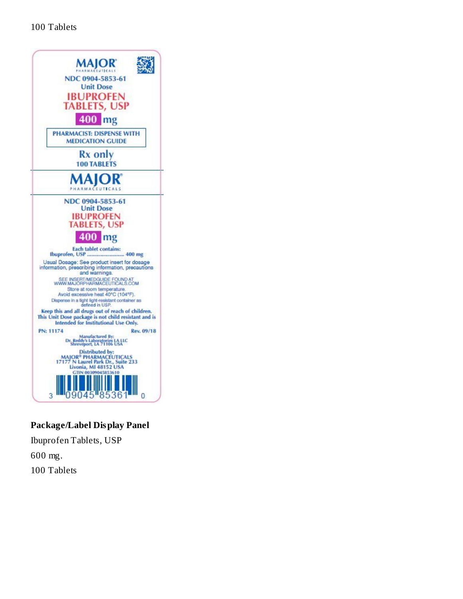

## **Package/Label Display Panel**

Ibuprofen Tablets, USP 600 mg. 100 Tablets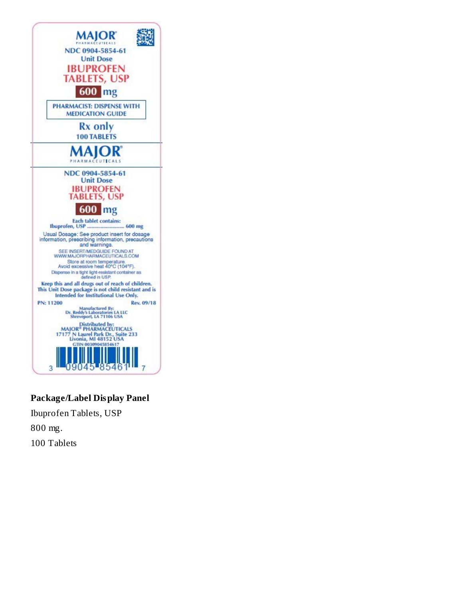

## **Package/Label Display Panel**

Ibuprofen Tablets, USP 800 mg. 100 Tablets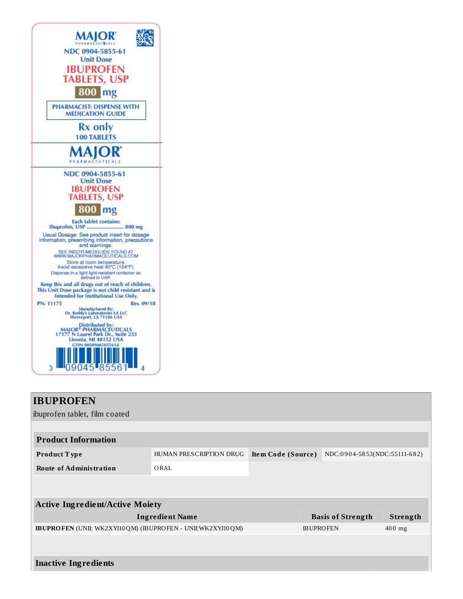

# **IBUPROFEN** ibuprofen tablet, film coated **Product Information Product T ype** HUMAN PRESCRIPTION DRUG **Ite m Code (Source )** NDC:0 9 0 4-58 53(NDC:55111-6 8 2) **Route of Administration** ORAL **Active Ingredient/Active Moiety Ingredient Name Basis of Strength Strength IBUPROFEN** (UNII: WK2XYI10QM) (IBUPROFEN - UNII:WK2XYI10QM) BUPROFEN 400 mg **Inactive Ingredients**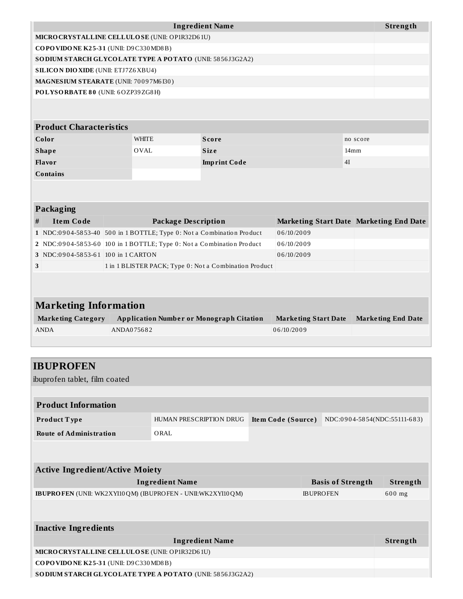| <b>Ingredient Name</b>                                   |              |              |                  |  |  |  |  |
|----------------------------------------------------------|--------------|--------------|------------------|--|--|--|--|
| MICRO CRYSTALLINE CELLULO SE (UNII: OP1R32D61U)          |              |              |                  |  |  |  |  |
| COPOVIDONE K25-31 (UNII: D9C330MD8B)                     |              |              |                  |  |  |  |  |
| SODIUM STARCH GLYCOLATE TYPE A POTATO (UNII: 5856J3G2A2) |              |              |                  |  |  |  |  |
| <b>SILICON DIO XIDE (UNII: ETJ7Z6XBU4)</b>               |              |              |                  |  |  |  |  |
| MAGNESIUM STEARATE (UNII: 70097M6I30)                    |              |              |                  |  |  |  |  |
| POLYSORBATE 80 (UNII: 6OZP39ZG8H)                        |              |              |                  |  |  |  |  |
|                                                          |              |              |                  |  |  |  |  |
|                                                          |              |              |                  |  |  |  |  |
| <b>Product Characteristics</b>                           |              |              |                  |  |  |  |  |
| Color                                                    | <b>WHITE</b> | <b>Score</b> | no score         |  |  |  |  |
| <b>Shape</b>                                             | <b>OVAL</b>  | <b>Size</b>  | 14 <sub>mm</sub> |  |  |  |  |
| 4I<br><b>Flavor</b><br><b>Imprint Code</b>               |              |              |                  |  |  |  |  |
| <b>Contains</b>                                          |              |              |                  |  |  |  |  |
|                                                          |              |              |                  |  |  |  |  |
|                                                          |              |              |                  |  |  |  |  |

| Packaging                    |                                    |                                                                       |                                                |                           |  |  |  |  |  |
|------------------------------|------------------------------------|-----------------------------------------------------------------------|------------------------------------------------|---------------------------|--|--|--|--|--|
| #                            | <b>Item Code</b>                   | Package Description                                                   | <b>Marketing Start Date Marketing End Date</b> |                           |  |  |  |  |  |
|                              |                                    | 1 NDC:0904-5853-40 500 in 1 BOTTLE; Type 0: Not a Combination Product | 06/10/2009                                     |                           |  |  |  |  |  |
|                              |                                    | 2 NDC:0904-5853-60 100 in 1 BOTTLE; Type 0: Not a Combination Product | 06/10/2009                                     |                           |  |  |  |  |  |
|                              | 3 NDC:0904-5853-61 100 in 1 CARTON |                                                                       | 06/10/2009                                     |                           |  |  |  |  |  |
| 3                            |                                    | 1 in 1 BLISTER PACK; Type 0: Not a Combination Product                |                                                |                           |  |  |  |  |  |
|                              |                                    |                                                                       |                                                |                           |  |  |  |  |  |
|                              |                                    |                                                                       |                                                |                           |  |  |  |  |  |
| <b>Marketing Information</b> |                                    |                                                                       |                                                |                           |  |  |  |  |  |
|                              | <b>Marketing Category</b>          | <b>Application Number or Monograph Citation</b>                       | <b>Marketing Start Date</b>                    | <b>Marketing End Date</b> |  |  |  |  |  |
|                              | <b>ANDA</b>                        | ANDA075682                                                            | 06/10/2009                                     |                           |  |  |  |  |  |

| <b>IBUPROFEN</b><br>ibuprofen tablet, film coated                      |                         |                    |                  |                              |          |
|------------------------------------------------------------------------|-------------------------|--------------------|------------------|------------------------------|----------|
|                                                                        |                         |                    |                  |                              |          |
| <b>Product Information</b>                                             |                         |                    |                  |                              |          |
| <b>Product Type</b>                                                    | HUMAN PRESCRIPTION DRUG | Item Code (Source) |                  | NDC:0904-5854(NDC:55111-683) |          |
| <b>Route of Administration</b>                                         | ORAL                    |                    |                  |                              |          |
|                                                                        |                         |                    |                  |                              |          |
| <b>Active Ingredient/Active Moiety</b>                                 |                         |                    |                  |                              |          |
|                                                                        | <b>Ingredient Name</b>  |                    |                  | <b>Basis of Strength</b>     | Strength |
| <b>IBUPRO FEN</b> (UNII: WK2XYI10 QM) (IBUPRO FEN - UNII: WK2XYI10 QM) |                         |                    | <b>IBUPROFEN</b> |                              | 600 mg   |
|                                                                        |                         |                    |                  |                              |          |
| <b>Inactive Ingredients</b>                                            |                         |                    |                  |                              |          |
|                                                                        | <b>Ingredient Name</b>  |                    |                  |                              | Strength |
| MICRO CRYSTALLINE CELLULO SE (UNII: OP1R32D61U)                        |                         |                    |                  |                              |          |
| COPOVIDONE K25-31 (UNII: D9C330MD8B)                                   |                         |                    |                  |                              |          |
| SODIUM STARCH GLYCOLATE TYPE A POTATO (UNII: 5856J3G2A2)               |                         |                    |                  |                              |          |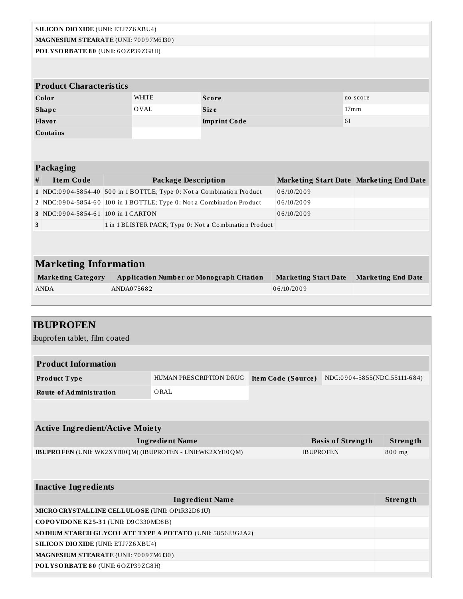| <b>SILICON DIO XIDE (UNII: ETJ7Z6 XBU4)</b>                                |            |                                                        |                        |  |                    |                             |                  |                                         |
|----------------------------------------------------------------------------|------------|--------------------------------------------------------|------------------------|--|--------------------|-----------------------------|------------------|-----------------------------------------|
| MAGNESIUM STEARATE (UNII: 70097M6I30)                                      |            |                                                        |                        |  |                    |                             |                  |                                         |
| POLYSORBATE 80 (UNII: 6OZP39ZG8H)                                          |            |                                                        |                        |  |                    |                             |                  |                                         |
|                                                                            |            |                                                        |                        |  |                    |                             |                  |                                         |
|                                                                            |            |                                                        |                        |  |                    |                             |                  |                                         |
| <b>Product Characteristics</b>                                             |            |                                                        |                        |  |                    |                             |                  |                                         |
| Color<br><b>WHITE</b><br><b>Score</b><br>no score                          |            |                                                        |                        |  |                    |                             |                  |                                         |
| <b>Shape</b>                                                               |            | <b>OVAL</b>                                            | <b>Size</b>            |  |                    |                             | 17 <sub>mm</sub> |                                         |
| Flavor                                                                     |            |                                                        | <b>Imprint Code</b>    |  |                    |                             | 61               |                                         |
| Contains                                                                   |            |                                                        |                        |  |                    |                             |                  |                                         |
|                                                                            |            |                                                        |                        |  |                    |                             |                  |                                         |
| <b>Packaging</b>                                                           |            |                                                        |                        |  |                    |                             |                  |                                         |
| <b>Item Code</b><br>#                                                      |            | <b>Package Description</b>                             |                        |  |                    |                             |                  | Marketing Start Date Marketing End Date |
| 1 NDC:0904-5854-40 500 in 1 BOTTLE; Type 0: Not a Combination Product      |            |                                                        |                        |  | 06/10/2009         |                             |                  |                                         |
| 2 NDC:0904-5854-60 100 in 1 BOTTLE; Type 0: Not a Combination Product      |            |                                                        |                        |  | 06/10/2009         |                             |                  |                                         |
| 3 NDC:0904-5854-61 100 in 1 CARTON                                         |            |                                                        |                        |  | 06/10/2009         |                             |                  |                                         |
| 3                                                                          |            | 1 in 1 BLISTER PACK; Type 0: Not a Combination Product |                        |  |                    |                             |                  |                                         |
|                                                                            |            |                                                        |                        |  |                    |                             |                  |                                         |
|                                                                            |            |                                                        |                        |  |                    |                             |                  |                                         |
| <b>Marketing Information</b>                                               |            |                                                        |                        |  |                    |                             |                  |                                         |
| <b>Marketing Category</b>                                                  |            | <b>Application Number or Monograph Citation</b>        |                        |  |                    | <b>Marketing Start Date</b> |                  | <b>Marketing End Date</b>               |
| <b>ANDA</b>                                                                | ANDA075682 |                                                        |                        |  | 06/10/2009         |                             |                  |                                         |
|                                                                            |            |                                                        |                        |  |                    |                             |                  |                                         |
|                                                                            |            |                                                        |                        |  |                    |                             |                  |                                         |
|                                                                            |            |                                                        |                        |  |                    |                             |                  |                                         |
|                                                                            |            |                                                        |                        |  |                    |                             |                  |                                         |
| <b>IBUPROFEN</b>                                                           |            |                                                        |                        |  |                    |                             |                  |                                         |
| ibuprofen tablet, film coated                                              |            |                                                        |                        |  |                    |                             |                  |                                         |
|                                                                            |            |                                                        |                        |  |                    |                             |                  |                                         |
| <b>Product Information</b>                                                 |            |                                                        |                        |  |                    |                             |                  |                                         |
| Product Type                                                               |            | HUMAN PRESCRIPTION DRUG                                |                        |  | Item Code (Source) |                             |                  | NDC:0904-5855(NDC:55111-684)            |
| <b>Route of Administration</b>                                             |            | ORAL                                                   |                        |  |                    |                             |                  |                                         |
|                                                                            |            |                                                        |                        |  |                    |                             |                  |                                         |
|                                                                            |            |                                                        |                        |  |                    |                             |                  |                                         |
| <b>Active Ingredient/Active Moiety</b>                                     |            |                                                        |                        |  |                    |                             |                  |                                         |
|                                                                            |            | <b>Ingredient Name</b>                                 |                        |  |                    | <b>Basis of Strength</b>    |                  | Strength                                |
| IBUPROFEN (UNII: WK2XYI10QM) (IBUPROFEN - UNII:WK2XYI10QM)                 |            |                                                        |                        |  |                    | <b>IBUPROFEN</b>            |                  | 800 mg                                  |
|                                                                            |            |                                                        |                        |  |                    |                             |                  |                                         |
|                                                                            |            |                                                        |                        |  |                    |                             |                  |                                         |
| <b>Inactive Ingredients</b>                                                |            |                                                        |                        |  |                    |                             |                  |                                         |
|                                                                            |            |                                                        | <b>Ingredient Name</b> |  |                    |                             |                  | Strength                                |
| MICRO CRYSTALLINE CELLULO SE (UNII: OP1R32D61U)                            |            |                                                        |                        |  |                    |                             |                  |                                         |
| COPOVIDONE K25-31 (UNII: D9C330MD8B)                                       |            |                                                        |                        |  |                    |                             |                  |                                         |
| SODIUM STARCH GLYCOLATE TYPE A POTATO (UNII: 5856J3G2A2)                   |            |                                                        |                        |  |                    |                             |                  |                                         |
| SILICON DIO XIDE (UNII: ETJ7Z6XBU4)                                        |            |                                                        |                        |  |                    |                             |                  |                                         |
| MAGNESIUM STEARATE (UNII: 70097M6I30)<br>POLYSORBATE 80 (UNII: 6OZP39ZG8H) |            |                                                        |                        |  |                    |                             |                  |                                         |